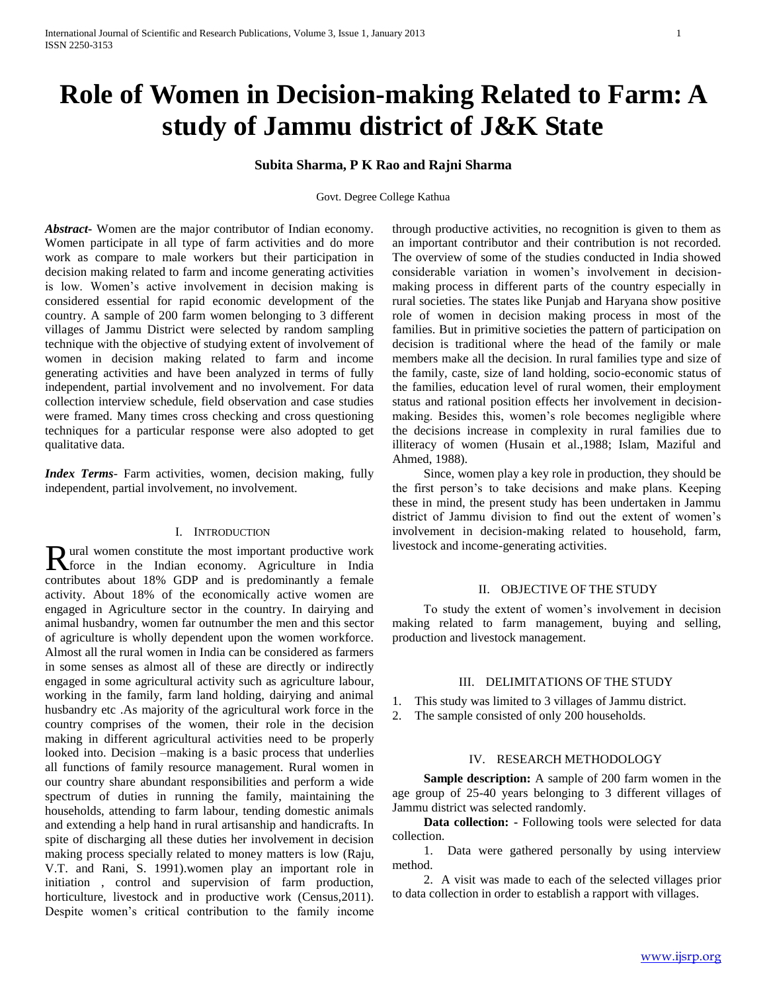# **Role of Women in Decision-making Related to Farm: A study of Jammu district of J&K State**

## **Subita Sharma, P K Rao and Rajni Sharma**

Govt. Degree College Kathua

*Abstract***-** Women are the major contributor of Indian economy. Women participate in all type of farm activities and do more work as compare to male workers but their participation in decision making related to farm and income generating activities is low. Women's active involvement in decision making is considered essential for rapid economic development of the country. A sample of 200 farm women belonging to 3 different villages of Jammu District were selected by random sampling technique with the objective of studying extent of involvement of women in decision making related to farm and income generating activities and have been analyzed in terms of fully independent, partial involvement and no involvement. For data collection interview schedule, field observation and case studies were framed. Many times cross checking and cross questioning techniques for a particular response were also adopted to get qualitative data.

*Index Terms*- Farm activities, women, decision making, fully independent, partial involvement, no involvement.

#### I. INTRODUCTION

ural women constitute the most important productive work **force** in the Indian economy. Agriculture in India<br>
The Indian economy. Agriculture in India contributes about 18% GDP and is predominantly a female activity. About 18% of the economically active women are engaged in Agriculture sector in the country. In dairying and animal husbandry, women far outnumber the men and this sector of agriculture is wholly dependent upon the women workforce. Almost all the rural women in India can be considered as farmers in some senses as almost all of these are directly or indirectly engaged in some agricultural activity such as agriculture labour, working in the family, farm land holding, dairying and animal husbandry etc .As majority of the agricultural work force in the country comprises of the women, their role in the decision making in different agricultural activities need to be properly looked into. Decision –making is a basic process that underlies all functions of family resource management. Rural women in our country share abundant responsibilities and perform a wide spectrum of duties in running the family, maintaining the households, attending to farm labour, tending domestic animals and extending a help hand in rural artisanship and handicrafts. In spite of discharging all these duties her involvement in decision making process specially related to money matters is low (Raju, V.T. and Rani, S. 1991).women play an important role in initiation , control and supervision of farm production, horticulture, livestock and in productive work (Census, 2011). Despite women's critical contribution to the family income

through productive activities, no recognition is given to them as an important contributor and their contribution is not recorded. The overview of some of the studies conducted in India showed considerable variation in women's involvement in decisionmaking process in different parts of the country especially in rural societies. The states like Punjab and Haryana show positive role of women in decision making process in most of the families. But in primitive societies the pattern of participation on decision is traditional where the head of the family or male members make all the decision. In rural families type and size of the family, caste, size of land holding, socio-economic status of the families, education level of rural women, their employment status and rational position effects her involvement in decisionmaking. Besides this, women's role becomes negligible where the decisions increase in complexity in rural families due to illiteracy of women (Husain et al.,1988; Islam, Maziful and Ahmed, 1988).

 Since, women play a key role in production, they should be the first person's to take decisions and make plans. Keeping these in mind, the present study has been undertaken in Jammu district of Jammu division to find out the extent of women's involvement in decision-making related to household, farm, livestock and income-generating activities.

#### II. OBJECTIVE OF THE STUDY

 To study the extent of women's involvement in decision making related to farm management, buying and selling, production and livestock management.

#### III. DELIMITATIONS OF THE STUDY

- 1. This study was limited to 3 villages of Jammu district.
- 2. The sample consisted of only 200 households.

#### IV. RESEARCH METHODOLOGY

 **Sample description:** A sample of 200 farm women in the age group of 25-40 years belonging to 3 different villages of Jammu district was selected randomly.

 **Data collection: -** Following tools were selected for data collection.

 1. Data were gathered personally by using interview method.

 2. A visit was made to each of the selected villages prior to data collection in order to establish a rapport with villages.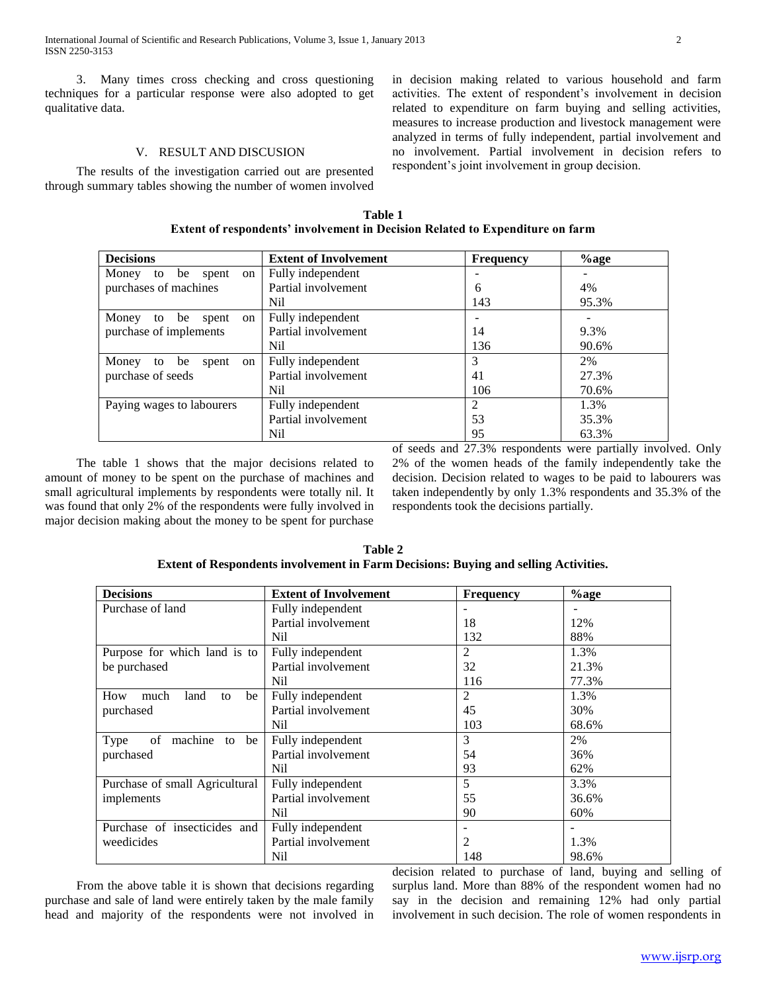3. Many times cross checking and cross questioning techniques for a particular response were also adopted to get qualitative data.

#### V. RESULT AND DISCUSION

 The results of the investigation carried out are presented through summary tables showing the number of women involved in decision making related to various household and farm activities. The extent of respondent's involvement in decision related to expenditure on farm buying and selling activities, measures to increase production and livestock management were analyzed in terms of fully independent, partial involvement and no involvement. Partial involvement in decision refers to respondent's joint involvement in group decision.

**Table 1 Extent of respondents' involvement in Decision Related to Expenditure on farm**

| <b>Decisions</b>                         | <b>Extent of Involvement</b> | <b>Frequency</b> | $%$ age |
|------------------------------------------|------------------------------|------------------|---------|
| Money<br>to be<br>spent<br><sub>on</sub> | Fully independent            |                  |         |
| purchases of machines                    | Partial involvement          | 6                | 4%      |
|                                          | Nil                          | 143              | 95.3%   |
| Money<br>be<br>to<br>spent<br>on         | Fully independent            |                  |         |
| purchase of implements                   | Partial involvement          | 14               | 9.3%    |
|                                          | Nil                          | 136              | 90.6%   |
| Money<br>be<br>to<br>spent<br>on         | Fully independent            | 3                | 2%      |
| purchase of seeds                        | Partial involvement          | 41               | 27.3%   |
|                                          | Nil                          | 106              | 70.6%   |
| Paying wages to labourers                | Fully independent            | $\mathfrak{D}$   | 1.3%    |
|                                          | Partial involvement          | 53               | 35.3%   |
|                                          | Nil                          | 95               | 63.3%   |

 The table 1 shows that the major decisions related to amount of money to be spent on the purchase of machines and small agricultural implements by respondents were totally nil. It was found that only 2% of the respondents were fully involved in major decision making about the money to be spent for purchase of seeds and 27.3% respondents were partially involved. Only 2% of the women heads of the family independently take the decision. Decision related to wages to be paid to labourers was taken independently by only 1.3% respondents and 35.3% of the respondents took the decisions partially.

| Table 2                                                                                    |
|--------------------------------------------------------------------------------------------|
| <b>Extent of Respondents involvement in Farm Decisions: Buying and selling Activities.</b> |

| <b>Decisions</b>                  | <b>Extent of Involvement</b> | <b>Frequency</b> | $%$ age |
|-----------------------------------|------------------------------|------------------|---------|
| Purchase of land                  | Fully independent            |                  |         |
|                                   | Partial involvement          | 18               | 12%     |
|                                   | Nil                          | 132              | 88%     |
| Purpose for which land is to      | Fully independent            | $\mathfrak{2}$   | 1.3%    |
| be purchased                      | Partial involvement          | 32               | 21.3%   |
|                                   | Nil                          | 116              | 77.3%   |
| How<br>much<br>land<br>be<br>to   | Fully independent            | 2                | 1.3%    |
| purchased                         | Partial involvement          | 45               | 30%     |
|                                   | Nil                          | 103              | 68.6%   |
| machine<br>Type<br>of<br>be<br>to | Fully independent            | 3                | 2%      |
| purchased                         | Partial involvement          | 54               | 36%     |
|                                   | Nil                          | 93               | 62%     |
| Purchase of small Agricultural    | Fully independent            | 5                | 3.3%    |
| implements                        | Partial involvement          | 55               | 36.6%   |
|                                   | Nil                          | 90               | 60%     |
| Purchase of insecticides and      | Fully independent            |                  |         |
| weedicides                        | Partial involvement          | 2                | 1.3%    |
|                                   | Nil                          | 148              | 98.6%   |

 From the above table it is shown that decisions regarding purchase and sale of land were entirely taken by the male family head and majority of the respondents were not involved in decision related to purchase of land, buying and selling of surplus land. More than 88% of the respondent women had no say in the decision and remaining 12% had only partial involvement in such decision. The role of women respondents in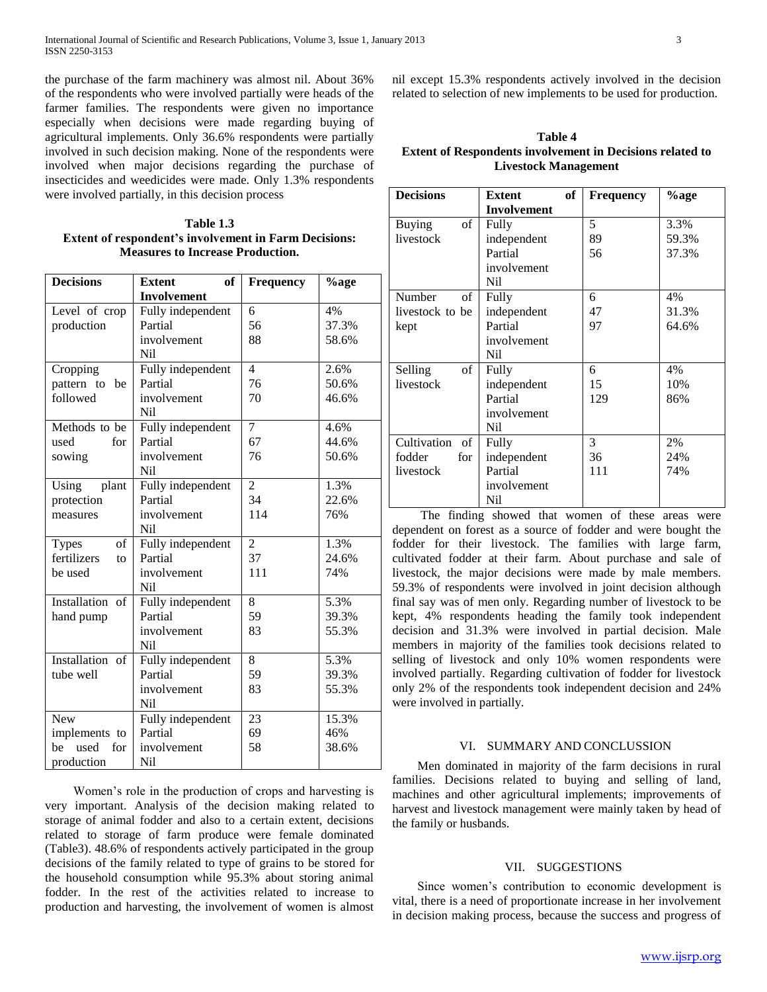the purchase of the farm machinery was almost nil. About 36% of the respondents who were involved partially were heads of the farmer families. The respondents were given no importance especially when decisions were made regarding buying of agricultural implements. Only 36.6% respondents were partially involved in such decision making. None of the respondents were involved when major decisions regarding the purchase of insecticides and weedicides were made. Only 1.3% respondents were involved partially, in this decision process

**Table 1.3 Extent of respondent's involvement in Farm Decisions: Measures to Increase Production.**

| <b>Decisions</b>   | of<br><b>Extent</b> | <b>Frequency</b> | %age  |
|--------------------|---------------------|------------------|-------|
|                    | <b>Involvement</b>  |                  |       |
| Level of crop      | Fully independent   | 6                | 4%    |
| production         | Partial             | 56               | 37.3% |
|                    | involvement         | 88               | 58.6% |
|                    | <b>Nil</b>          |                  |       |
| Cropping           | Fully independent   | $\overline{4}$   | 2.6%  |
| pattern to<br>be   | Partial             | 76               | 50.6% |
| followed           | involvement         | 70               | 46.6% |
|                    | <b>Nil</b>          |                  |       |
| Methods to be      | Fully independent   | 7                | 4.6%  |
| used<br>for        | Partial             | 67               | 44.6% |
| sowing             | involvement         | 76               | 50.6% |
|                    | N <sub>i</sub>      |                  |       |
| Using<br>plant     | Fully independent   | $\overline{2}$   | 1.3%  |
| protection         | Partial             | 34               | 22.6% |
| measures           | involvement         | 114              | 76%   |
|                    | Nil                 |                  |       |
| of<br><b>Types</b> | Fully independent   | $\overline{2}$   | 1.3%  |
| fertilizers<br>to  | Partial             | 37               | 24.6% |
| be used            | involvement         | 111              | 74%   |
|                    | N <sub>i</sub>      |                  |       |
| Installation of    | Fully independent   | 8                | 5.3%  |
| hand pump          | Partial             | 59               | 39.3% |
|                    | involvement         | 83               | 55.3% |
|                    | N <sub>i</sub>      |                  |       |
| Installation of    | Fully independent   | 8                | 5.3%  |
| tube well          | Partial             | 59               | 39.3% |
|                    | involvement         | 83               | 55.3% |
|                    | N <sub>i</sub>      |                  |       |
| <b>New</b>         | Fully independent   | 23               | 15.3% |
| implements to      | Partial             | 69               | 46%   |
| used<br>be<br>for  | involvement         | 58               | 38.6% |
| production         | Nil                 |                  |       |

 Women's role in the production of crops and harvesting is very important. Analysis of the decision making related to storage of animal fodder and also to a certain extent, decisions related to storage of farm produce were female dominated (Table3). 48.6% of respondents actively participated in the group decisions of the family related to type of grains to be stored for the household consumption while 95.3% about storing animal fodder. In the rest of the activities related to increase to production and harvesting, the involvement of women is almost

nil except 15.3% respondents actively involved in the decision related to selection of new implements to be used for production.

**Table 4 Extent of Respondents involvement in Decisions related to Livestock Management**

| <b>Decisions</b>    | <b>Extent</b>      | оf | <b>Frequency</b> | %age  |
|---------------------|--------------------|----|------------------|-------|
|                     | <b>Involvement</b> |    |                  |       |
| <b>Buying</b><br>of | Fully              |    | 5                | 3.3%  |
| livestock           | independent        |    | 89               | 59.3% |
|                     | Partial            |    | 56               | 37.3% |
|                     | involvement        |    |                  |       |
|                     | Nil                |    |                  |       |
| Number<br>of        | Fully              |    | 6                | 4%    |
| livestock to be     | independent        |    | 47               | 31.3% |
| kept                | Partial            |    | 97               | 64.6% |
|                     | involvement        |    |                  |       |
|                     | Nil                |    |                  |       |
| of<br>Selling       | Fully              |    | 6                | 4%    |
| livestock           | independent        |    | 15               | 10%   |
|                     | Partial            |    | 129              | 86%   |
|                     | involvement        |    |                  |       |
|                     | Nil                |    |                  |       |
| Cultivation<br>- of | Fully              |    | 3                | 2%    |
| fodder<br>for       | independent        |    | 36               | 24%   |
| livestock           | Partial            |    | 111              | 74%   |
|                     | involvement        |    |                  |       |
|                     | Nil                |    |                  |       |

 The finding showed that women of these areas were dependent on forest as a source of fodder and were bought the fodder for their livestock. The families with large farm, cultivated fodder at their farm. About purchase and sale of livestock, the major decisions were made by male members. 59.3% of respondents were involved in joint decision although final say was of men only. Regarding number of livestock to be kept, 4% respondents heading the family took independent decision and 31.3% were involved in partial decision. Male members in majority of the families took decisions related to selling of livestock and only 10% women respondents were involved partially. Regarding cultivation of fodder for livestock only 2% of the respondents took independent decision and 24% were involved in partially.

#### VI. SUMMARY AND CONCLUSSION

 Men dominated in majority of the farm decisions in rural families. Decisions related to buying and selling of land, machines and other agricultural implements; improvements of harvest and livestock management were mainly taken by head of the family or husbands.

### VII. SUGGESTIONS

 Since women's contribution to economic development is vital, there is a need of proportionate increase in her involvement in decision making process, because the success and progress of